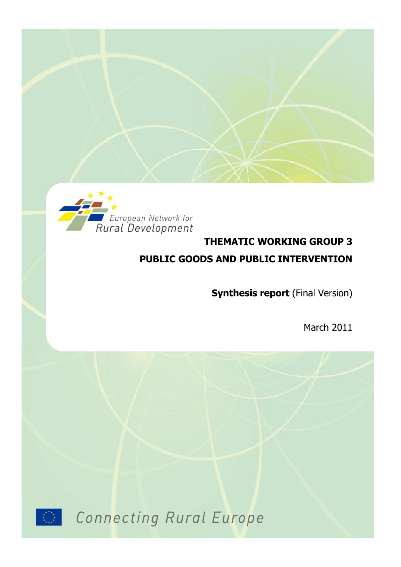

# **THEMATIC WORKING GROUP 3 PUBLIC GOODS AND PUBLIC INTERVENTION**

**Synthesis report** (Final Version)

March 2011



Connecting Rural Europe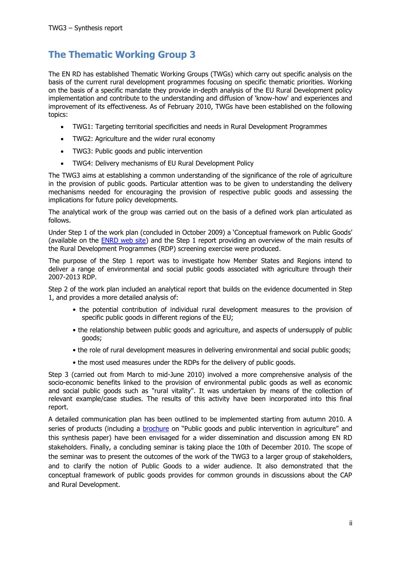## <span id="page-1-0"></span>**The Thematic Working Group 3**

The EN RD has established Thematic Working Groups (TWGs) which carry out specific analysis on the basis of the current rural development programmes focusing on specific thematic priorities. Working on the basis of a specific mandate they provide in-depth analysis of the EU Rural Development policy implementation and contribute to the understanding and diffusion of 'know-how' and experiences and improvement of its effectiveness. As of February 2010, TWGs have been established on the following topics:

- TWG1: Targeting territorial specificities and needs in Rural Development Programmes
- TWG2: Agriculture and the wider rural economy
- TWG3: Public goods and public intervention
- TWG4: Delivery mechanisms of EU Rural Development Policy

The TWG3 aims at establishing a common understanding of the significance of the role of agriculture in the provision of public goods. Particular attention was to be given to understanding the delivery mechanisms needed for encouraging the provision of respective public goods and assessing the implications for future policy developments.

The analytical work of the group was carried out on the basis of a defined work plan articulated as follows.

Under Step 1 of the work plan (concluded in October 2009) a "Conceptual framework on Public Goods" (available on the [ENRD web site\)](http://enrd.ec.europa.eu/thematic-initiatives/twg3/en/twg3_home_en.cfm) and the Step 1 report providing an overview of the main results of the Rural Development Programmes (RDP) screening exercise were produced.

The purpose of the Step 1 report was to investigate how Member States and Regions intend to deliver a range of environmental and social public goods associated with agriculture through their 2007-2013 RDP.

Step 2 of the work plan included an analytical report that builds on the evidence documented in Step 1, and provides a more detailed analysis of:

- the potential contribution of individual rural development measures to the provision of specific public goods in different regions of the EU;
- the relationship between public goods and agriculture, and aspects of undersupply of public goods;
- the role of rural development measures in delivering environmental and social public goods;
- the most used measures under the RDPs for the delivery of public goods.

Step 3 (carried out from March to mid-June 2010) involved a more comprehensive analysis of the socio-economic benefits linked to the provision of environmental public goods as well as economic and social public goods such as "rural vitality". It was undertaken by means of the collection of relevant example/case studies. The results of this activity have been incorporated into this final report.

A detailed communication plan has been outlined to be implemented starting from autumn 2010. A series of products (including a **brochure** on "Public goods and public intervention in agriculture" and this synthesis paper) have been envisaged for a wider dissemination and discussion among EN RD stakeholders. Finally, a concluding seminar is taking place the 10th of December 2010. The scope of the seminar was to present the outcomes of the work of the TWG3 to a larger group of stakeholders, and to clarify the notion of Public Goods to a wider audience. It also demonstrated that the conceptual framework of public goods provides for common grounds in discussions about the CAP and Rural Development.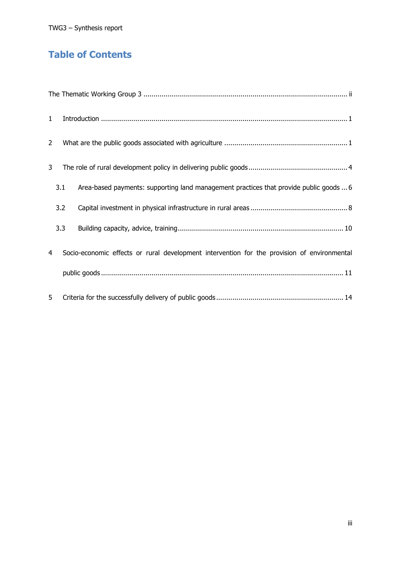## **Table of Contents**

| $\mathbf{1}$   |     |                                                                                             |
|----------------|-----|---------------------------------------------------------------------------------------------|
| $\overline{2}$ |     |                                                                                             |
| 3              |     |                                                                                             |
|                | 3.1 | Area-based payments: supporting land management practices that provide public goods  6      |
|                | 3.2 |                                                                                             |
|                | 3.3 |                                                                                             |
| 4              |     | Socio-economic effects or rural development intervention for the provision of environmental |
|                |     |                                                                                             |
| 5              |     |                                                                                             |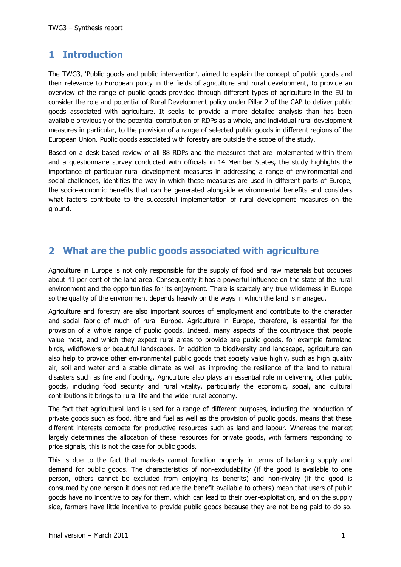## <span id="page-3-0"></span>**1 Introduction**

The TWG3, "Public goods and public intervention", aimed to explain the concept of public goods and their relevance to European policy in the fields of agriculture and rural development, to provide an overview of the range of public goods provided through different types of agriculture in the EU to consider the role and potential of Rural Development policy under Pillar 2 of the CAP to deliver public goods associated with agriculture. It seeks to provide a more detailed analysis than has been available previously of the potential contribution of RDPs as a whole, and individual rural development measures in particular, to the provision of a range of selected public goods in different regions of the European Union. Public goods associated with forestry are outside the scope of the study.

Based on a desk based review of all 88 RDPs and the measures that are implemented within them and a questionnaire survey conducted with officials in 14 Member States, the study highlights the importance of particular rural development measures in addressing a range of environmental and social challenges, identifies the way in which these measures are used in different parts of Europe, the socio-economic benefits that can be generated alongside environmental benefits and considers what factors contribute to the successful implementation of rural development measures on the ground.

### <span id="page-3-1"></span>**2 What are the public goods associated with agriculture**

Agriculture in Europe is not only responsible for the supply of food and raw materials but occupies about 41 per cent of the land area. Consequently it has a powerful influence on the state of the rural environment and the opportunities for its enjoyment. There is scarcely any true wilderness in Europe so the quality of the environment depends heavily on the ways in which the land is managed.

Agriculture and forestry are also important sources of employment and contribute to the character and social fabric of much of rural Europe. Agriculture in Europe, therefore, is essential for the provision of a whole range of public goods. Indeed, many aspects of the countryside that people value most, and which they expect rural areas to provide are public goods, for example farmland birds, wildflowers or beautiful landscapes. In addition to biodiversity and landscape, agriculture can also help to provide other environmental public goods that society value highly, such as high quality air, soil and water and a stable climate as well as improving the resilience of the land to natural disasters such as fire and flooding. Agriculture also plays an essential role in delivering other public goods, including food security and rural vitality, particularly the economic, social, and cultural contributions it brings to rural life and the wider rural economy.

The fact that agricultural land is used for a range of different purposes, including the production of private goods such as food, fibre and fuel as well as the provision of public goods, means that these different interests compete for productive resources such as land and labour. Whereas the market largely determines the allocation of these resources for private goods, with farmers responding to price signals, this is not the case for public goods.

This is due to the fact that markets cannot function properly in terms of balancing supply and demand for public goods. The characteristics of non-excludability (if the good is available to one person, others cannot be excluded from enjoying its benefits) and non-rivalry (if the good is consumed by one person it does not reduce the benefit available to others) mean that users of public goods have no incentive to pay for them, which can lead to their over-exploitation, and on the supply side, farmers have little incentive to provide public goods because they are not being paid to do so.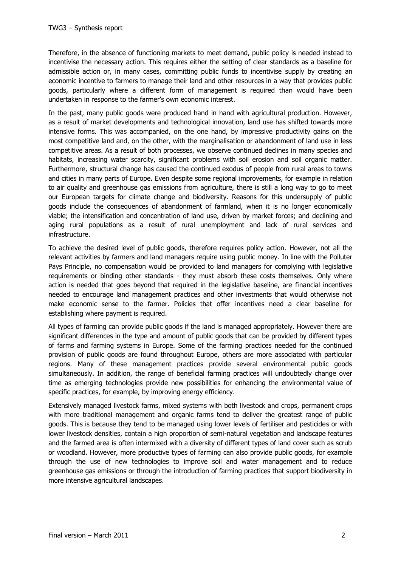Therefore, in the absence of functioning markets to meet demand, public policy is needed instead to incentivise the necessary action. This requires either the setting of clear standards as a baseline for admissible action or, in many cases, committing public funds to incentivise supply by creating an economic incentive to farmers to manage their land and other resources in a way that provides public goods, particularly where a different form of management is required than would have been undertaken in response to the farmer"s own economic interest.

In the past, many public goods were produced hand in hand with agricultural production. However, as a result of market developments and technological innovation, land use has shifted towards more intensive forms. This was accompanied, on the one hand, by impressive productivity gains on the most competitive land and, on the other, with the marginalisation or abandonment of land use in less competitive areas. As a result of both processes, we observe continued declines in many species and habitats, increasing water scarcity, significant problems with soil erosion and soil organic matter. Furthermore, structural change has caused the continued exodus of people from rural areas to towns and cities in many parts of Europe. Even despite some regional improvements, for example in relation to air quality and greenhouse gas emissions from agriculture, there is still a long way to go to meet our European targets for climate change and biodiversity. Reasons for this undersupply of public goods include the consequences of abandonment of farmland, when it is no longer economically viable; the intensification and concentration of land use, driven by market forces; and declining and aging rural populations as a result of rural unemployment and lack of rural services and infrastructure.

To achieve the desired level of public goods, therefore requires policy action. However, not all the relevant activities by farmers and land managers require using public money. In line with the Polluter Pays Principle, no compensation would be provided to land managers for complying with legislative requirements or binding other standards - they must absorb these costs themselves. Only where action is needed that goes beyond that required in the legislative baseline, are financial incentives needed to encourage land management practices and other investments that would otherwise not make economic sense to the farmer. Policies that offer incentives need a clear baseline for establishing where payment is required.

All types of farming can provide public goods if the land is managed appropriately. However there are significant differences in the type and amount of public goods that can be provided by different types of farms and farming systems in Europe. Some of the farming practices needed for the continued provision of public goods are found throughout Europe, others are more associated with particular regions. Many of these management practices provide several environmental public goods simultaneously. In addition, the range of beneficial farming practices will undoubtedly change over time as emerging technologies provide new possibilities for enhancing the environmental value of specific practices, for example, by improving energy efficiency.

Extensively managed livestock farms, mixed systems with both livestock and crops, permanent crops with more traditional management and organic farms tend to deliver the greatest range of public goods. This is because they tend to be managed using lower levels of fertiliser and pesticides or with lower livestock densities, contain a high proportion of semi-natural vegetation and landscape features and the farmed area is often intermixed with a diversity of different types of land cover such as scrub or woodland. However, more productive types of farming can also provide public goods, for example through the use of new technologies to improve soil and water management and to reduce greenhouse gas emissions or through the introduction of farming practices that support biodiversity in more intensive agricultural landscapes.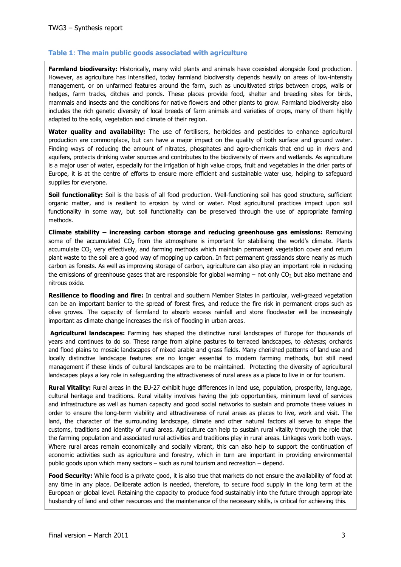### **Table 1**: **The main public goods associated with agriculture**

**Farmland biodiversity:** Historically, many wild plants and animals have coexisted alongside food production. However, as agriculture has intensified, today farmland biodiversity depends heavily on areas of low-intensity management, or on unfarmed features around the farm, such as uncultivated strips between crops, walls or hedges, farm tracks, ditches and ponds. These places provide food, shelter and breeding sites for birds, mammals and insects and the conditions for native flowers and other plants to grow. Farmland biodiversity also includes the rich genetic diversity of local breeds of farm animals and varieties of crops, many of them highly adapted to the soils, vegetation and climate of their region.

**Water quality and availability:** The use of fertilisers, herbicides and pesticides to enhance agricultural production are commonplace, but can have a major impact on the quality of both surface and ground water. Finding ways of reducing the amount of nitrates, phosphates and agro-chemicals that end up in rivers and aquifers, protects drinking water sources and contributes to the biodiversity of rivers and wetlands. As agriculture is a major user of water, especially for the irrigation of high value crops, fruit and vegetables in the drier parts of Europe, it is at the centre of efforts to ensure more efficient and sustainable water use, helping to safeguard supplies for everyone.

**Soil functionality:** Soil is the basis of all food production. Well-functioning soil has good structure, sufficient organic matter, and is resilient to erosion by wind or water. Most agricultural practices impact upon soil functionality in some way, but soil functionality can be preserved through the use of appropriate farming methods.

**Climate stability – increasing carbon storage and reducing greenhouse gas emissions:** Removing some of the accumulated  $CO<sub>2</sub>$  from the atmosphere is important for stabilising the world's climate. Plants accumulate CO<sub>2</sub> very effectively, and farming methods which maintain permanent vegetation cover and return plant waste to the soil are a good way of mopping up carbon. In fact permanent grasslands store nearly as much carbon as forests. As well as improving storage of carbon, agriculture can also play an important role in reducing the emissions of greenhouse gases that are responsible for global warming  $-$  not only CO<sub>2</sub>, but also methane and nitrous oxide.

**Resilience to flooding and fire:** In central and southern Member States in particular, well-grazed vegetation can be an important barrier to the spread of forest fires, and reduce the fire risk in permanent crops such as olive groves. The capacity of farmland to absorb excess rainfall and store floodwater will be increasingly important as climate change increases the risk of flooding in urban areas.

**Agricultural landscapes:** Farming has shaped the distinctive rural landscapes of Europe for thousands of years and continues to do so. These range from alpine pastures to terraced landscapes, to *dehesas*, orchards and flood plains to mosaic landscapes of mixed arable and grass fields. Many cherished patterns of land use and locally distinctive landscape features are no longer essential to modern farming methods, but still need management if these kinds of cultural landscapes are to be maintained. Protecting the diversity of agricultural landscapes plays a key role in safeguarding the attractiveness of rural areas as a place to live in or for tourism.

**Rural Vitality:** Rural areas in the EU-27 exhibit huge differences in land use, population, prosperity, language, cultural heritage and traditions. Rural vitality involves having the job opportunities, minimum level of services and infrastructure as well as human capacity and good social networks to sustain and promote these values in order to ensure the long-term viability and attractiveness of rural areas as places to live, work and visit. The land, the character of the surrounding landscape, climate and other natural factors all serve to shape the customs, traditions and identity of rural areas. Agriculture can help to sustain rural vitality through the role that the farming population and associated rural activities and traditions play in rural areas. Linkages work both ways. Where rural areas remain economically and socially vibrant, this can also help to support the continuation of economic activities such as agriculture and forestry, which in turn are important in providing environmental public goods upon which many sectors – such as rural tourism and recreation – depend.

**Food Security:** While food is a private good, it is also true that markets do not ensure the availability of food at any time in any place. Deliberate action is needed, therefore, to secure food supply in the long term at the European or global level. Retaining the capacity to produce food sustainably into the future through appropriate husbandry of land and other resources and the maintenance of the necessary skills, is critical for achieving this.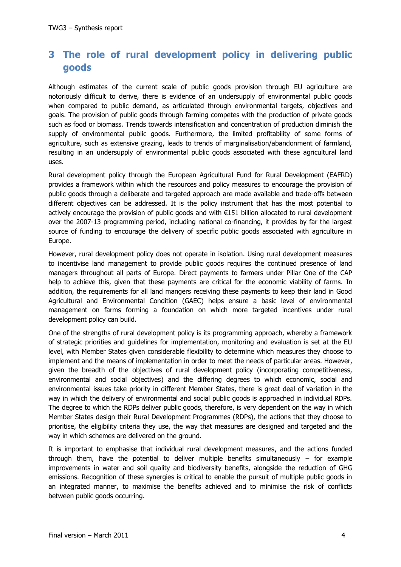## <span id="page-6-0"></span>**3 The role of rural development policy in delivering public goods**

Although estimates of the current scale of public goods provision through EU agriculture are notoriously difficult to derive, there is evidence of an undersupply of environmental public goods when compared to public demand, as articulated through environmental targets, objectives and goals. The provision of public goods through farming competes with the production of private goods such as food or biomass. Trends towards intensification and concentration of production diminish the supply of environmental public goods. Furthermore, the limited profitability of some forms of agriculture, such as extensive grazing, leads to trends of marginalisation/abandonment of farmland, resulting in an undersupply of environmental public goods associated with these agricultural land uses.

Rural development policy through the European Agricultural Fund for Rural Development (EAFRD) provides a framework within which the resources and policy measures to encourage the provision of public goods through a deliberate and targeted approach are made available and trade-offs between different objectives can be addressed. It is the policy instrument that has the most potential to actively encourage the provision of public goods and with €151 billion allocated to rural development over the 2007-13 programming period, including national co-financing, it provides by far the largest source of funding to encourage the delivery of specific public goods associated with agriculture in Europe.

However, rural development policy does not operate in isolation. Using rural development measures to incentivise land management to provide public goods requires the continued presence of land managers throughout all parts of Europe. Direct payments to farmers under Pillar One of the CAP help to achieve this, given that these payments are critical for the economic viability of farms. In addition, the requirements for all land mangers receiving these payments to keep their land in Good Agricultural and Environmental Condition (GAEC) helps ensure a basic level of environmental management on farms forming a foundation on which more targeted incentives under rural development policy can build.

One of the strengths of rural development policy is its programming approach, whereby a framework of strategic priorities and guidelines for implementation, monitoring and evaluation is set at the EU level, with Member States given considerable flexibility to determine which measures they choose to implement and the means of implementation in order to meet the needs of particular areas. However, given the breadth of the objectives of rural development policy (incorporating competitiveness, environmental and social objectives) and the differing degrees to which economic, social and environmental issues take priority in different Member States, there is great deal of variation in the way in which the delivery of environmental and social public goods is approached in individual RDPs. The degree to which the RDPs deliver public goods, therefore, is very dependent on the way in which Member States design their Rural Development Programmes (RDPs), the actions that they choose to prioritise, the eligibility criteria they use, the way that measures are designed and targeted and the way in which schemes are delivered on the ground.

It is important to emphasise that individual rural development measures, and the actions funded through them, have the potential to deliver multiple benefits simultaneously  $-$  for example improvements in water and soil quality and biodiversity benefits, alongside the reduction of GHG emissions. Recognition of these synergies is critical to enable the pursuit of multiple public goods in an integrated manner, to maximise the benefits achieved and to minimise the risk of conflicts between public goods occurring.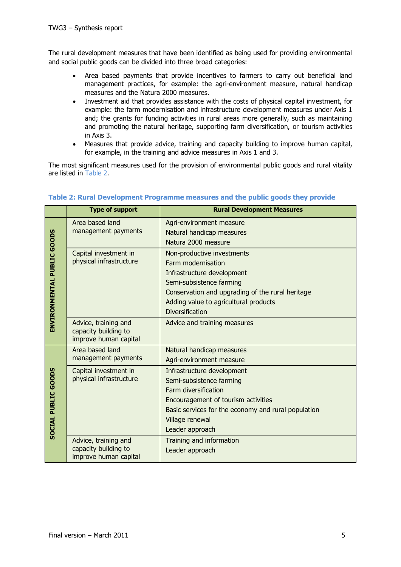The rural development measures that have been identified as being used for providing environmental and social public goods can be divided into three broad categories:

- Area based payments that provide incentives to farmers to carry out beneficial land management practices, for example: the agri-environment measure, natural handicap measures and the Natura 2000 measures.
- Investment aid that provides assistance with the costs of physical capital investment, for example: the farm modernisation and infrastructure development measures under Axis 1 and; the grants for funding activities in rural areas more generally, such as maintaining and promoting the natural heritage, supporting farm diversification, or tourism activities in Axis 3.
- Measures that provide advice, training and capacity building to improve human capital, for example, in the training and advice measures in Axis 1 and 3.

The most significant measures used for the provision of environmental public goods and rural vitality are listed in [Table 2.](#page-7-0)

|                            | <b>Type of support</b>                                                | <b>Rural Development Measures</b>                                                                                                                                                                                                 |  |  |  |  |  |
|----------------------------|-----------------------------------------------------------------------|-----------------------------------------------------------------------------------------------------------------------------------------------------------------------------------------------------------------------------------|--|--|--|--|--|
|                            | Area based land<br>management payments                                | Agri-environment measure<br>Natural handicap measures<br>Natura 2000 measure                                                                                                                                                      |  |  |  |  |  |
| ENVIRONMENTAL PUBLIC GOODS | Capital investment in<br>physical infrastructure                      | Non-productive investments<br>Farm modernisation<br>Infrastructure development<br>Semi-subsistence farming<br>Conservation and upgrading of the rural heritage<br>Adding value to agricultural products<br><b>Diversification</b> |  |  |  |  |  |
|                            | Advice, training and<br>capacity building to<br>improve human capital | Advice and training measures                                                                                                                                                                                                      |  |  |  |  |  |
|                            | Area based land<br>management payments                                | Natural handicap measures<br>Agri-environment measure                                                                                                                                                                             |  |  |  |  |  |
| SOCIAL PUBLIC GOODS        | Capital investment in<br>physical infrastructure                      | Infrastructure development<br>Semi-subsistence farming<br>Farm diversification<br>Encouragement of tourism activities<br>Basic services for the economy and rural population<br>Village renewal<br>Leader approach                |  |  |  |  |  |
|                            | Advice, training and<br>capacity building to<br>improve human capital | Training and information<br>Leader approach                                                                                                                                                                                       |  |  |  |  |  |

### <span id="page-7-0"></span>**Table 2: Rural Development Programme measures and the public goods they provide**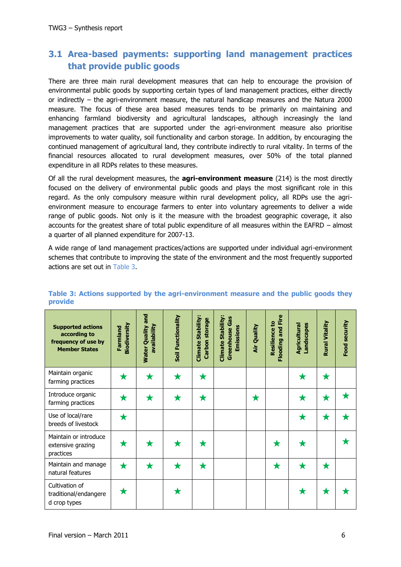### <span id="page-8-0"></span>**3.1 Area-based payments: supporting land management practices that provide public goods**

There are three main rural development measures that can help to encourage the provision of environmental public goods by supporting certain types of land management practices, either directly or indirectly – the agri-environment measure, the natural handicap measures and the Natura 2000 measure. The focus of these area based measures tends to be primarily on maintaining and enhancing farmland biodiversity and agricultural landscapes, although increasingly the land management practices that are supported under the agri-environment measure also prioritise improvements to water quality, soil functionality and carbon storage. In addition, by encouraging the continued management of agricultural land, they contribute indirectly to rural vitality. In terms of the financial resources allocated to rural development measures, over 50% of the total planned expenditure in all RDPs relates to these measures.

Of all the rural development measures, the **agri-environment measure** (214) is the most directly focused on the delivery of environmental public goods and plays the most significant role in this regard. As the only compulsory measure within rural development policy, all RDPs use the agrienvironment measure to encourage farmers to enter into voluntary agreements to deliver a wide range of public goods. Not only is it the measure with the broadest geographic coverage, it also accounts for the greatest share of total public expenditure of all measures within the EAFRD – almost a quarter of all planned expenditure for 2007-13.

A wide range of land management practices/actions are supported under individual agri-environment schemes that contribute to improving the state of the environment and the most frequently supported actions are set out in [Table 3.](#page-8-1)

| <b>Supported actions</b><br>according to<br>frequency of use by<br><b>Member States</b> | <b>Biodiversity</b><br>Farmland | <b>Water Quality and</b><br>availability | Soil Functionality | Stability:<br>Carbon storage<br>Climate | Climate Stability:<br><b>Greenhouse Gas</b><br>Emissions | Air Quality | and Fire<br><b>Resilience to</b><br>Flooding | Agricultural<br>Landscapes | Rural Vitality | Food security |
|-----------------------------------------------------------------------------------------|---------------------------------|------------------------------------------|--------------------|-----------------------------------------|----------------------------------------------------------|-------------|----------------------------------------------|----------------------------|----------------|---------------|
| Maintain organic<br>farming practices                                                   | $\bigstar$                      | ★                                        | $\bigstar$         | $\bigstar$                              |                                                          |             |                                              | $\bigstar$                 | $\bigstar$     |               |
| Introduce organic<br>farming practices                                                  | ★                               | $\bigstar$                               | $\bigstar$         | ★                                       |                                                          | $\bigstar$  |                                              | $\bigstar$                 | ★              | Х             |
| Use of local/rare<br>breeds of livestock                                                |                                 |                                          |                    |                                         |                                                          |             |                                              | $\bigstar$                 | ★              | Х             |
| Maintain or introduce<br>extensive grazing<br>practices                                 | ж                               | Х                                        | Х                  | ★                                       |                                                          |             | ★                                            |                            |                |               |
| Maintain and manage<br>natural features                                                 | ★                               | $\bigstar$                               | ★                  | $\bigstar$                              |                                                          |             | $\bigstar$                                   | ★                          | ★              |               |
| Cultivation of<br>traditional/endangere<br>d crop types                                 | ★                               |                                          | ★                  |                                         |                                                          |             |                                              | ★                          | Х              |               |

### <span id="page-8-1"></span>**Table 3: Actions supported by the agri-environment measure and the public goods they provide**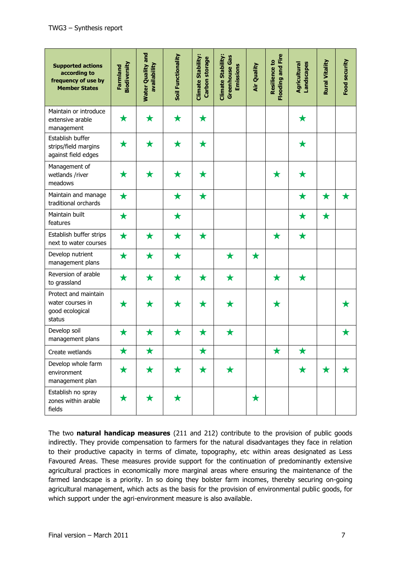| <b>Supported actions</b><br>according to<br>frequency of use by<br><b>Member States</b> | Biodiversity<br><b>Farmland</b> | <b>Water Quality and</b><br>availability | Soil Functionality | <b>Climate Stability:</b><br><b>Carbon storage</b> | <b>Climate Stability:</b><br><b>Greenhouse Gas</b><br>Emissions | Air Quality | <b>Flooding and Fire</b><br><b>Resilience to</b> | Landscapes<br>Agricultural | Rural Vitality | Food security |
|-----------------------------------------------------------------------------------------|---------------------------------|------------------------------------------|--------------------|----------------------------------------------------|-----------------------------------------------------------------|-------------|--------------------------------------------------|----------------------------|----------------|---------------|
| Maintain or introduce<br>extensive arable<br>management                                 | ★                               | $\bigstar$                               | $\bigstar$         | $\bigstar$                                         |                                                                 |             |                                                  | $\bigstar$                 |                |               |
| Establish buffer<br>strips/field margins<br>against field edges                         | ★                               | $\bigstar$                               | $\bigstar$         | $\bigstar$                                         |                                                                 |             |                                                  | $\bigstar$                 |                |               |
| Management of<br>wetlands /river<br>meadows                                             | ★                               | $\bigstar$                               | $\bigstar$         | $\bigstar$                                         |                                                                 |             | $\bigstar$                                       | $\bigstar$                 |                |               |
| Maintain and manage<br>traditional orchards                                             | $\bigstar$                      |                                          | $\bigstar$         | $\bigstar$                                         |                                                                 |             |                                                  | $\bigstar$                 | $\bigstar$     | $\bigstar$    |
| Maintain built<br>features                                                              | $\bigstar$                      |                                          | $\bigstar$         |                                                    |                                                                 |             |                                                  | $\bigstar$                 | $\bigstar$     |               |
| Establish buffer strips<br>next to water courses                                        | $\bigstar$                      | $\bigstar$                               | $\bigstar$         | $\bigstar$                                         |                                                                 |             | $\bigstar$                                       | $\bigstar$                 |                |               |
| Develop nutrient<br>management plans                                                    | $\bigstar$                      | $\bigstar$                               | $\bigstar$         |                                                    | $\bigstar$                                                      | $\bigstar$  |                                                  |                            |                |               |
| Reversion of arable<br>to grassland                                                     | $\bigstar$                      | $\bigstar$                               | $\bigstar$         | $\bigstar$                                         | $\bigstar$                                                      |             | $\bigstar$                                       | $\bigstar$                 |                |               |
| Protect and maintain<br>water courses in<br>good ecological<br>status                   | ★                               | $\bigstar$                               | ★                  | ★                                                  | $\bigstar$                                                      |             | $\bigstar$                                       |                            |                | ★             |
| Develop soil<br>management plans                                                        | $\bigstar$                      | $\bigstar$                               | $\bigstar$         | $\bigstar$                                         | $\bigstar$                                                      |             |                                                  |                            |                | $\bigstar$    |
| Create wetlands                                                                         | $\bigstar$                      | $\bigstar$                               |                    | $\bigstar$                                         |                                                                 |             | $\bigstar$                                       | $\bigstar$                 |                |               |
| Develop whole farm<br>environment<br>management plan                                    | $\bigstar$                      | $\bigstar$                               | $\bigstar$         | $\bigstar$                                         | $\bigstar$                                                      |             |                                                  | $\bigstar$                 | $\bigstar$     | ★             |
| Establish no spray<br>zones within arable<br>fields                                     | $\bigstar$                      | $\bigstar$                               | $\bigstar$         |                                                    |                                                                 | $\bigstar$  |                                                  |                            |                |               |

The two **natural handicap measures** (211 and 212) contribute to the provision of public goods indirectly. They provide compensation to farmers for the natural disadvantages they face in relation to their productive capacity in terms of climate, topography, etc within areas designated as Less Favoured Areas. These measures provide support for the continuation of predominantly extensive agricultural practices in economically more marginal areas where ensuring the maintenance of the farmed landscape is a priority. In so doing they bolster farm incomes, thereby securing on-going agricultural management, which acts as the basis for the provision of environmental public goods, for which support under the agri-environment measure is also available.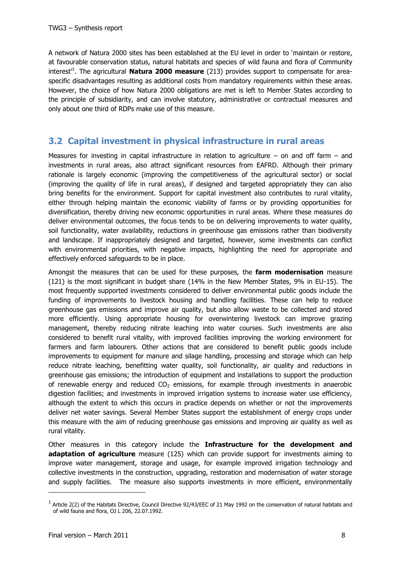A network of Natura 2000 sites has been established at the EU level in order to "maintain or restore, at favourable conservation status, natural habitats and species of wild fauna and flora of Community interest<sup>1</sup>. The agricultural **Natura 2000 measure** (213) provides support to compensate for areaspecific disadvantages resulting as additional costs from mandatory requirements within these areas. However, the choice of how Natura 2000 obligations are met is left to Member States according to the principle of subsidiarity, and can involve statutory, administrative or contractual measures and only about one third of RDPs make use of this measure.

### <span id="page-10-0"></span>**3.2 Capital investment in physical infrastructure in rural areas**

Measures for investing in capital infrastructure in relation to agriculture – on and off farm  $-$  and investments in rural areas, also attract significant resources from EAFRD. Although their primary rationale is largely economic (improving the competitiveness of the agricultural sector) or social (improving the quality of life in rural areas), if designed and targeted appropriately they can also bring benefits for the environment. Support for capital investment also contributes to rural vitality, either through helping maintain the economic viability of farms or by providing opportunities for diversification, thereby driving new economic opportunities in rural areas. Where these measures do deliver environmental outcomes, the focus tends to be on delivering improvements to water quality, soil functionality, water availability, reductions in greenhouse gas emissions rather than biodiversity and landscape. If inappropriately designed and targeted, however, some investments can conflict with environmental priorities, with negative impacts, highlighting the need for appropriate and effectively enforced safeguards to be in place.

Amongst the measures that can be used for these purposes, the **farm modernisation** measure (121) is the most significant in budget share (14% in the New Member States, 9% in EU-15). The most frequently supported investments considered to deliver environmental public goods include the funding of improvements to livestock housing and handling facilities. These can help to reduce greenhouse gas emissions and improve air quality, but also allow waste to be collected and stored more efficiently. Using appropriate housing for overwintering livestock can improve grazing management, thereby reducing nitrate leaching into water courses. Such investments are also considered to benefit rural vitality, with improved facilities improving the working environment for farmers and farm labourers. Other actions that are considered to benefit public goods include improvements to equipment for manure and silage handling, processing and storage which can help reduce nitrate leaching, benefitting water quality, soil functionality, air quality and reductions in greenhouse gas emissions; the introduction of equipment and installations to support the production of renewable energy and reduced  $CO<sub>2</sub>$  emissions, for example through investments in anaerobic digestion facilities; and investments in improved irrigation systems to increase water use efficiency, although the extent to which this occurs in practice depends on whether or not the improvements deliver net water savings. Several Member States support the establishment of energy crops under this measure with the aim of reducing greenhouse gas emissions and improving air quality as well as rural vitality.

Other measures in this category include the **Infrastructure for the development and adaptation of agriculture** measure (125) which can provide support for investments aiming to improve water management, storage and usage, for example improved irrigation technology and collective investments in the construction, upgrading, restoration and modernisation of water storage and supply facilities. The measure also supports investments in more efficient, environmentally

-

 $^1$  Article 2(2) of the Habitats Directive, Council Directive 92/43/EEC of 21 May 1992 on the conservation of natural habitats and of wild fauna and flora, OJ L 206, 22.07.1992.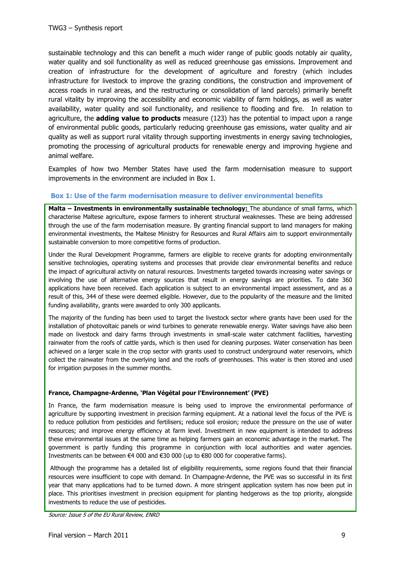sustainable technology and this can benefit a much wider range of public goods notably air quality, water quality and soil functionality as well as reduced greenhouse gas emissions. Improvement and creation of infrastructure for the development of agriculture and forestry (which includes infrastructure for livestock to improve the grazing conditions, the construction and improvement of access roads in rural areas, and the restructuring or consolidation of land parcels) primarily benefit rural vitality by improving the accessibility and economic viability of farm holdings, as well as water availability, water quality and soil functionality, and resilience to flooding and fire. In relation to agriculture, the **adding value to products** measure (123) has the potential to impact upon a range of environmental public goods, particularly reducing greenhouse gas emissions, water quality and air quality as well as support rural vitality through supporting investments in energy saving technologies, promoting the processing of agricultural products for renewable energy and improving hygiene and animal welfare.

Examples of how two Member States have used the farm modernisation measure to support improvements in the environment are included in [Box 1](#page-11-0).

### <span id="page-11-0"></span>**Box 1: Use of the farm modernisation measure to deliver environmental benefits**

**Malta – Investments in environmentally sustainable technology: The abundance of small farms, which** characterise Maltese agriculture, expose farmers to inherent structural weaknesses. These are being addressed through the use of the farm modernisation measure. By granting financial support to land managers for making environmental investments, the Maltese Ministry for Resources and Rural Affairs aim to support environmentally sustainable conversion to more competitive forms of production.

Under the Rural Development Programme, farmers are eligible to receive grants for adopting environmentally sensitive technologies, operating systems and processes that provide clear environmental benefits and reduce the impact of agricultural activity on natural resources. Investments targeted towards increasing water savings or involving the use of alternative energy sources that result in energy savings are priorities. To date 360 applications have been received. Each application is subject to an environmental impact assessment, and as a result of this, 344 of these were deemed eligible. However, due to the popularity of the measure and the limited funding availability, grants were awarded to only 300 applicants.

The majority of the funding has been used to target the livestock sector where grants have been used for the installation of photovoltaic panels or wind turbines to generate renewable energy. Water savings have also been made on livestock and dairy farms through investments in small-scale water catchment facilities, harvesting rainwater from the roofs of cattle yards, which is then used for cleaning purposes. Water conservation has been achieved on a larger scale in the crop sector with grants used to construct underground water reservoirs, which collect the rainwater from the overlying land and the roofs of greenhouses. This water is then stored and used for irrigation purposes in the summer months.

#### **France, Champagne-Ardenne, 'Plan Végétal pour l'Environnement' (PVE)**

In France, the farm modernisation measure is being used to improve the environmental performance of agriculture by supporting investment in precision farming equipment. At a national level the focus of the PVE is to reduce pollution from pesticides and fertilisers; reduce soil erosion; reduce the pressure on the use of water resources; and improve energy efficiency at farm level. Investment in new equipment is intended to address these environmental issues at the same time as helping farmers gain an economic advantage in the market. The government is partly funding this programme in conjunction with local authorities and water agencies. Investments can be between  $\epsilon$ 4 000 and  $\epsilon$ 30 000 (up to  $\epsilon$ 80 000 for cooperative farms).

Although the programme has a detailed list of eligibility requirements, some regions found that their financial resources were insufficient to cope with demand. In Champagne-Ardenne, the PVE was so successful in its first year that many applications had to be turned down. A more stringent application system has now been put in place. This prioritises investment in precision equipment for planting hedgerows as the top priority, alongside investments to reduce the use of pesticides.

Source: Issue 5 of the EU Rural Review, ENRD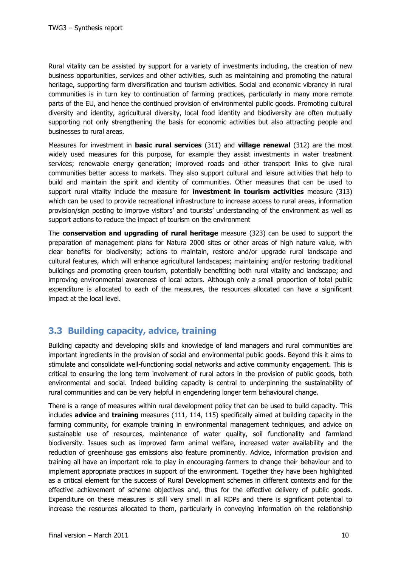Rural vitality can be assisted by support for a variety of investments including, the creation of new business opportunities, services and other activities, such as maintaining and promoting the natural heritage, supporting farm diversification and tourism activities. Social and economic vibrancy in rural communities is in turn key to continuation of farming practices, particularly in many more remote parts of the EU, and hence the continued provision of environmental public goods. Promoting cultural diversity and identity, agricultural diversity, local food identity and biodiversity are often mutually supporting not only strengthening the basis for economic activities but also attracting people and businesses to rural areas.

Measures for investment in **basic rural services** (311) and **village renewal** (312) are the most widely used measures for this purpose, for example they assist investments in water treatment services; renewable energy generation; improved roads and other transport links to give rural communities better access to markets. They also support cultural and leisure activities that help to build and maintain the spirit and identity of communities. Other measures that can be used to support rural vitality include the measure for **investment in tourism activities** measure (313) which can be used to provide recreational infrastructure to increase access to rural areas, information provision/sign posting to improve visitors" and tourists" understanding of the environment as well as support actions to reduce the impact of tourism on the environment

The **conservation and upgrading of rural heritage** measure (323) can be used to support the preparation of management plans for Natura 2000 sites or other areas of high nature value, with clear benefits for biodiversity; actions to maintain, restore and/or upgrade rural landscape and cultural features, which will enhance agricultural landscapes; maintaining and/or restoring traditional buildings and promoting green tourism, potentially benefitting both rural vitality and landscape; and improving environmental awareness of local actors. Although only a small proportion of total public expenditure is allocated to each of the measures, the resources allocated can have a significant impact at the local level.

### <span id="page-12-0"></span>**3.3 Building capacity, advice, training**

Building capacity and developing skills and knowledge of land managers and rural communities are important ingredients in the provision of social and environmental public goods. Beyond this it aims to stimulate and consolidate well-functioning social networks and active community engagement. This is critical to ensuring the long term involvement of rural actors in the provision of public goods, both environmental and social. Indeed building capacity is central to underpinning the sustainability of rural communities and can be very helpful in engendering longer term behavioural change.

There is a range of measures within rural development policy that can be used to build capacity. This includes **advice** and **training** measures (111, 114, 115) specifically aimed at building capacity in the farming community, for example training in environmental management techniques, and advice on sustainable use of resources, maintenance of water quality, soil functionality and farmland biodiversity. Issues such as improved farm animal welfare, increased water availability and the reduction of greenhouse gas emissions also feature prominently. Advice, information provision and training all have an important role to play in encouraging farmers to change their behaviour and to implement appropriate practices in support of the environment. Together they have been highlighted as a critical element for the success of Rural Development schemes in different contexts and for the effective achievement of scheme objectives and, thus for the effective delivery of public goods. Expenditure on these measures is still very small in all RDPs and there is significant potential to increase the resources allocated to them, particularly in conveying information on the relationship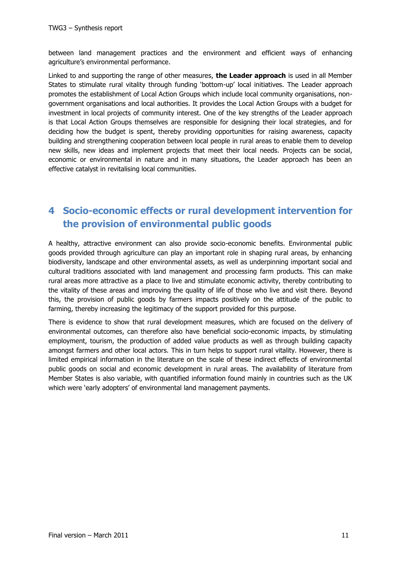between land management practices and the environment and efficient ways of enhancing agriculture's environmental performance.

Linked to and supporting the range of other measures, **the Leader approach** is used in all Member States to stimulate rural vitality through funding 'bottom-up' local initiatives. The Leader approach promotes the establishment of Local Action Groups which include local community organisations, nongovernment organisations and local authorities. It provides the Local Action Groups with a budget for investment in local projects of community interest. One of the key strengths of the Leader approach is that Local Action Groups themselves are responsible for designing their local strategies, and for deciding how the budget is spent, thereby providing opportunities for raising awareness, capacity building and strengthening cooperation between local people in rural areas to enable them to develop new skills, new ideas and implement projects that meet their local needs. Projects can be social, economic or environmental in nature and in many situations, the Leader approach has been an effective catalyst in revitalising local communities.

## <span id="page-13-0"></span>**4 Socio-economic effects or rural development intervention for the provision of environmental public goods**

A healthy, attractive environment can also provide socio-economic benefits. Environmental public goods provided through agriculture can play an important role in shaping rural areas, by enhancing biodiversity, landscape and other environmental assets, as well as underpinning important social and cultural traditions associated with land management and processing farm products. This can make rural areas more attractive as a place to live and stimulate economic activity, thereby contributing to the vitality of these areas and improving the quality of life of those who live and visit there. Beyond this, the provision of public goods by farmers impacts positively on the attitude of the public to farming, thereby increasing the legitimacy of the support provided for this purpose.

There is evidence to show that rural development measures, which are focused on the delivery of environmental outcomes, can therefore also have beneficial socio-economic impacts, by stimulating employment, tourism, the production of added value products as well as through building capacity amongst farmers and other local actors. This in turn helps to support rural vitality. However, there is limited empirical information in the literature on the scale of these indirect effects of environmental public goods on social and economic development in rural areas. The availability of literature from Member States is also variable, with quantified information found mainly in countries such as the UK which were 'early adopters' of environmental land management payments.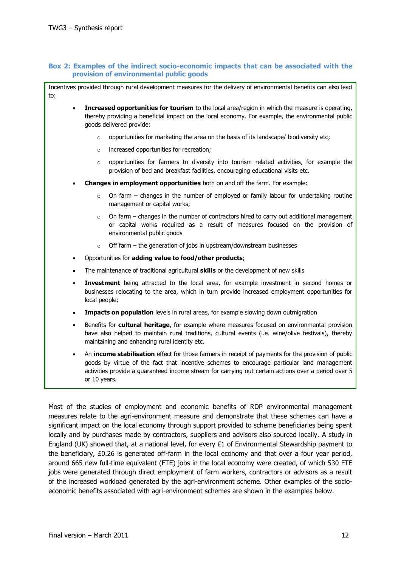#### **Box 2: Examples of the indirect socio-economic impacts that can be associated with the provision of environmental public goods**

Incentives provided through rural development measures for the delivery of environmental benefits can also lead to:

- **Increased opportunities for tourism** to the local area/region in which the measure is operating, thereby providing a beneficial impact on the local economy. For example, the environmental public goods delivered provide:
	- $\circ$  opportunities for marketing the area on the basis of its landscape/ biodiversity etc;
	- o increased opportunities for recreation;
	- $\circ$  opportunities for farmers to diversity into tourism related activities, for example the provision of bed and breakfast facilities, encouraging educational visits etc.
- **Changes in employment opportunities** both on and off the farm. For example:
	- $\circ$  On farm changes in the number of employed or family labour for undertaking routine management or capital works;
	- $\circ$  On farm changes in the number of contractors hired to carry out additional management or capital works required as a result of measures focused on the provision of environmental public goods
	- $\circ$  Off farm the generation of jobs in upstream/downstream businesses
- Opportunities for **adding value to food/other products**;
- The maintenance of traditional agricultural **skills** or the development of new skills
- **Investment** being attracted to the local area, for example investment in second homes or businesses relocating to the area, which in turn provide increased employment opportunities for local people;
- **Impacts on population** levels in rural areas, for example slowing down outmigration
- Benefits for **cultural heritage**, for example where measures focused on environmental provision have also helped to maintain rural traditions, cultural events (i.e. wine/olive festivals), thereby maintaining and enhancing rural identity etc.
- An **income stabilisation** effect for those farmers in receipt of payments for the provision of public goods by virtue of the fact that incentive schemes to encourage particular land management activities provide a guaranteed income stream for carrying out certain actions over a period over 5 or 10 years.

Most of the studies of employment and economic benefits of RDP environmental management measures relate to the agri-environment measure and demonstrate that these schemes can have a significant impact on the local economy through support provided to scheme beneficiaries being spent locally and by purchases made by contractors, suppliers and advisors also sourced locally. A study in England (UK) showed that, at a national level, for every  $£1$  of Environmental Stewardship payment to the beneficiary, £0.26 is generated off-farm in the local economy and that over a four year period, around 665 new full-time equivalent (FTE) jobs in the local economy were created, of which 530 FTE jobs were generated through direct employment of farm workers, contractors or advisors as a result of the increased workload generated by the agri-environment scheme. Other examples of the socioeconomic benefits associated with agri-environment schemes are shown in the examples below.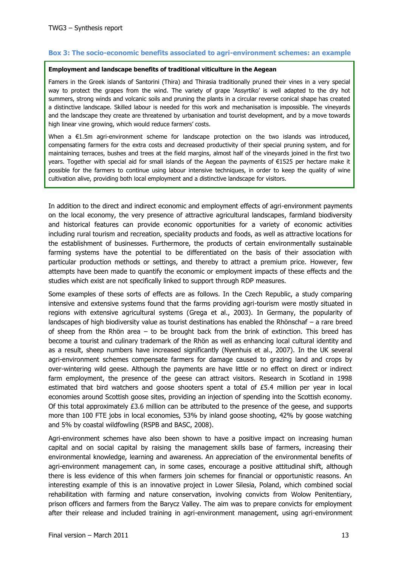#### **Box 3: The socio-economic benefits associated to agri-environment schemes: an example**

#### **Employment and landscape benefits of traditional viticulture in the Aegean**

Famers in the Greek islands of Santorini (Thira) and Thirasia traditionally pruned their vines in a very special way to protect the grapes from the wind. The variety of grape "Assyrtiko" is well adapted to the dry hot summers, strong winds and volcanic soils and pruning the plants in a circular reverse conical shape has created a distinctive landscape. Skilled labour is needed for this work and mechanisation is impossible. The vineyards and the landscape they create are threatened by urbanisation and tourist development, and by a move towards high linear vine growing, which would reduce farmers' costs.

When a €1.5m agri-environment scheme for landscape protection on the two islands was introduced, compensating farmers for the extra costs and decreased productivity of their special pruning system, and for maintaining terraces, bushes and trees at the field margins, almost half of the vineyards joined in the first two years. Together with special aid for small islands of the Aegean the payments of €1525 per hectare make it possible for the farmers to continue using labour intensive techniques, in order to keep the quality of wine cultivation alive, providing both local employment and a distinctive landscape for visitors.

In addition to the direct and indirect economic and employment effects of agri-environment payments on the local economy, the very presence of attractive agricultural landscapes, farmland biodiversity and historical features can provide economic opportunities for a variety of economic activities including rural tourism and recreation, speciality products and foods, as well as attractive locations for the establishment of businesses. Furthermore, the products of certain environmentally sustainable farming systems have the potential to be differentiated on the basis of their association with particular production methods or settings, and thereby to attract a premium price. However, few attempts have been made to quantify the economic or employment impacts of these effects and the studies which exist are not specifically linked to support through RDP measures.

Some examples of these sorts of effects are as follows. In the Czech Republic, a study comparing intensive and extensive systems found that the farms providing agri-tourism were mostly situated in regions with extensive agricultural systems (Grega et al., 2003). In Germany, the popularity of landscapes of high biodiversity value as tourist destinations has enabled the Rhönschaf – a rare breed of sheep from the Rhön area – to be brought back from the brink of extinction. This breed has become a tourist and culinary trademark of the Rhön as well as enhancing local cultural identity and as a result, sheep numbers have increased significantly (Nyenhuis et al., 2007). In the UK several agri-environment schemes compensate farmers for damage caused to grazing land and crops by over-wintering wild geese. Although the payments are have little or no effect on direct or indirect farm employment, the presence of the geese can attract visitors. Research in Scotland in 1998 estimated that bird watchers and goose shooters spent a total of £5.4 million per year in local economies around Scottish goose sites, providing an injection of spending into the Scottish economy. Of this total approximately £3.6 million can be attributed to the presence of the geese, and supports more than 100 FTE jobs in local economies, 53% by inland goose shooting, 42% by goose watching and 5% by coastal wildfowling (RSPB and BASC, 2008).

Agri-environment schemes have also been shown to have a positive impact on increasing human capital and on social capital by raising the management skills base of farmers, increasing their environmental knowledge, learning and awareness. An appreciation of the environmental benefits of agri-environment management can, in some cases, encourage a positive attitudinal shift, although there is less evidence of this when farmers join schemes for financial or opportunistic reasons. An interesting example of this is an innovative project in Lower Silesia, Poland, which combined social rehabilitation with farming and nature conservation, involving convicts from Wolow Penitentiary, prison officers and farmers from the Barycz Valley. The aim was to prepare convicts for employment after their release and included training in agri-environment management, using agri-environment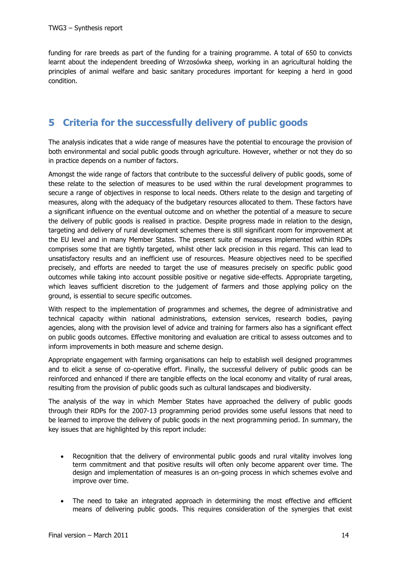funding for rare breeds as part of the funding for a training programme. A total of 650 to convicts learnt about the independent breeding of Wrzosówka sheep, working in an agricultural holding the principles of animal welfare and basic sanitary procedures important for keeping a herd in good condition.

## <span id="page-16-0"></span>**5 Criteria for the successfully delivery of public goods**

The analysis indicates that a wide range of measures have the potential to encourage the provision of both environmental and social public goods through agriculture. However, whether or not they do so in practice depends on a number of factors.

Amongst the wide range of factors that contribute to the successful delivery of public goods, some of these relate to the selection of measures to be used within the rural development programmes to secure a range of objectives in response to local needs. Others relate to the design and targeting of measures, along with the adequacy of the budgetary resources allocated to them. These factors have a significant influence on the eventual outcome and on whether the potential of a measure to secure the delivery of public goods is realised in practice. Despite progress made in relation to the design, targeting and delivery of rural development schemes there is still significant room for improvement at the EU level and in many Member States. The present suite of measures implemented within RDPs comprises some that are tightly targeted, whilst other lack precision in this regard. This can lead to unsatisfactory results and an inefficient use of resources. Measure objectives need to be specified precisely, and efforts are needed to target the use of measures precisely on specific public good outcomes while taking into account possible positive or negative side-effects. Appropriate targeting, which leaves sufficient discretion to the judgement of farmers and those applying policy on the ground, is essential to secure specific outcomes.

With respect to the implementation of programmes and schemes, the degree of administrative and technical capacity within national administrations, extension services, research bodies, paying agencies, along with the provision level of advice and training for farmers also has a significant effect on public goods outcomes. Effective monitoring and evaluation are critical to assess outcomes and to inform improvements in both measure and scheme design.

Appropriate engagement with farming organisations can help to establish well designed programmes and to elicit a sense of co-operative effort. Finally, the successful delivery of public goods can be reinforced and enhanced if there are tangible effects on the local economy and vitality of rural areas, resulting from the provision of public goods such as cultural landscapes and biodiversity.

The analysis of the way in which Member States have approached the delivery of public goods through their RDPs for the 2007-13 programming period provides some useful lessons that need to be learned to improve the delivery of public goods in the next programming period. In summary, the key issues that are highlighted by this report include:

- Recognition that the delivery of environmental public goods and rural vitality involves long term commitment and that positive results will often only become apparent over time. The design and implementation of measures is an on-going process in which schemes evolve and improve over time.
- The need to take an integrated approach in determining the most effective and efficient means of delivering public goods. This requires consideration of the synergies that exist